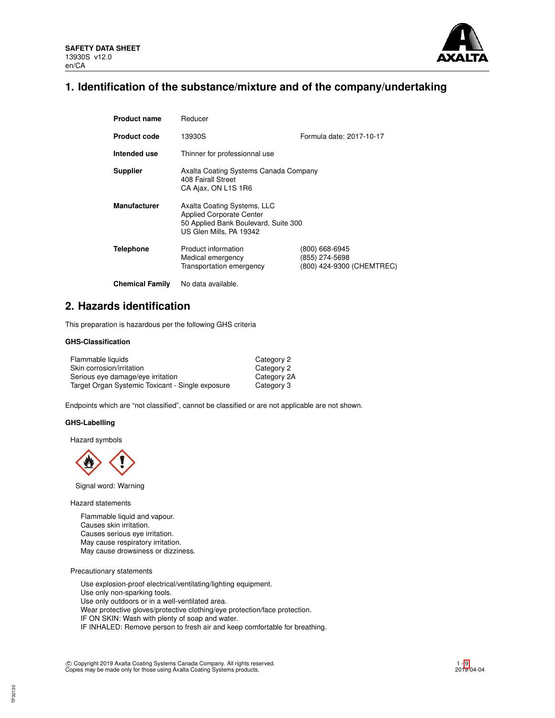

## **1. Identification of the substance/mixture and of the company/undertaking**

| <b>Product name</b>    | Reducer                                                                                                                           |                                                               |  |  |
|------------------------|-----------------------------------------------------------------------------------------------------------------------------------|---------------------------------------------------------------|--|--|
| <b>Product code</b>    | Formula date: 2017-10-17<br>13930S                                                                                                |                                                               |  |  |
| Intended use           | Thinner for professionnal use                                                                                                     |                                                               |  |  |
| <b>Supplier</b>        | Axalta Coating Systems Canada Company<br>408 Fairall Street<br>CA Ajax, ON L1S 1R6                                                |                                                               |  |  |
| <b>Manufacturer</b>    | Axalta Coating Systems, LLC<br><b>Applied Corporate Center</b><br>50 Applied Bank Boulevard, Suite 300<br>US Glen Mills, PA 19342 |                                                               |  |  |
| <b>Telephone</b>       | Product information<br>Medical emergency<br>Transportation emergency                                                              | (800) 668-6945<br>(855) 274-5698<br>(800) 424-9300 (CHEMTREC) |  |  |
| <b>Chemical Family</b> | No data available.                                                                                                                |                                                               |  |  |

## **2. Hazards identification**

This preparation is hazardous per the following GHS criteria

### **GHS-Classification**

| Flammable liquids                                | Category 2  |
|--------------------------------------------------|-------------|
| Skin corrosion/irritation                        | Category 2  |
| Serious eye damage/eye irritation                | Category 2A |
| Target Organ Systemic Toxicant - Single exposure | Category 3  |

Endpoints which are "not classified", cannot be classified or are not applicable are not shown.

## **GHS-Labelling**

Hazard symbols



Signal word: Warning

Hazard statements

Flammable liquid and vapour. Causes skin irritation. Causes serious eye irritation. May cause respiratory irritation. May cause drowsiness or dizziness.

Precautionary statements

Use explosion-proof electrical/ventilating/lighting equipment. Use only non-sparking tools. Use only outdoors or in a well-ventilated area. Wear protective gloves/protective clothing/eye protection/face protection. IF ON SKIN: Wash with plenty of soap and water. IF INHALED: Remove person to fresh air and keep comfortable for breathing.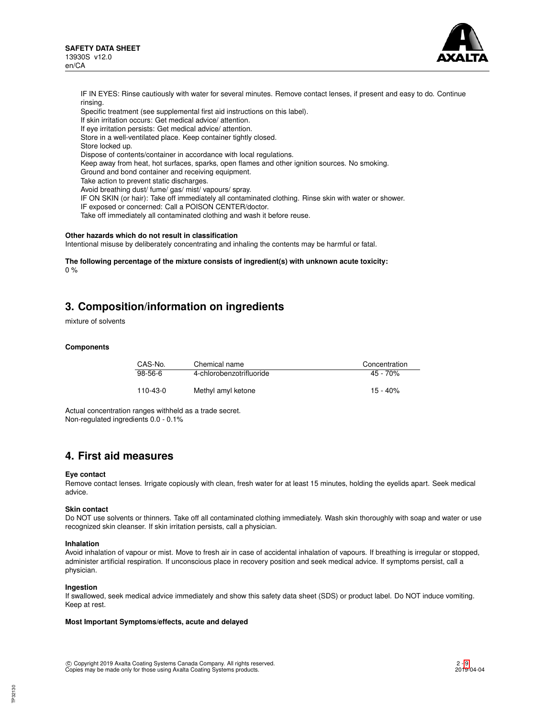

IF IN EYES: Rinse cautiously with water for several minutes. Remove contact lenses, if present and easy to do. Continue rinsing. Specific treatment (see supplemental first aid instructions on this label). If skin irritation occurs: Get medical advice/ attention. If eye irritation persists: Get medical advice/ attention. Store in a well-ventilated place. Keep container tightly closed. Store locked up. Dispose of contents/container in accordance with local regulations. Keep away from heat, hot surfaces, sparks, open flames and other ignition sources. No smoking. Ground and bond container and receiving equipment. Take action to prevent static discharges. Avoid breathing dust/ fume/ gas/ mist/ vapours/ spray. IF ON SKIN (or hair): Take off immediately all contaminated clothing. Rinse skin with water or shower. IF exposed or concerned: Call a POISON CENTER/doctor. Take off immediately all contaminated clothing and wash it before reuse.

### **Other hazards which do not result in classification**

Intentional misuse by deliberately concentrating and inhaling the contents may be harmful or fatal.

**The following percentage of the mixture consists of ingredient(s) with unknown acute toxicity:** 0 %

## **3. Composition/information on ingredients**

mixture of solvents

### **Components**

| CAS-No.   | Chemical name            | Concentration |
|-----------|--------------------------|---------------|
| $98-56-6$ | 4-chlorobenzotrifluoride | $45 - 70%$    |
| 110-43-0  | Methyl amyl ketone       | $15 - 40%$    |

Actual concentration ranges withheld as a trade secret. Non-regulated ingredients 0.0 - 0.1%

## **4. First aid measures**

### **Eye contact**

Remove contact lenses. Irrigate copiously with clean, fresh water for at least 15 minutes, holding the eyelids apart. Seek medical advice.

### **Skin contact**

Do NOT use solvents or thinners. Take off all contaminated clothing immediately. Wash skin thoroughly with soap and water or use recognized skin cleanser. If skin irritation persists, call a physician.

### **Inhalation**

Avoid inhalation of vapour or mist. Move to fresh air in case of accidental inhalation of vapours. If breathing is irregular or stopped, administer artificial respiration. If unconscious place in recovery position and seek medical advice. If symptoms persist, call a physician.

### **Ingestion**

If swallowed, seek medical advice immediately and show this safety data sheet (SDS) or product label. Do NOT induce vomiting. Keep at rest.

## **Most Important Symptoms/effects, acute and delayed**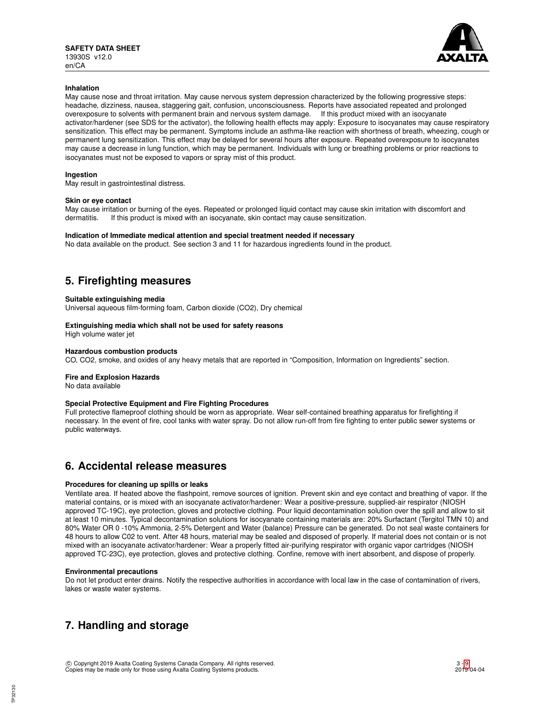

## **Inhalation**

May cause nose and throat irritation. May cause nervous system depression characterized by the following progressive steps: headache, dizziness, nausea, staggering gait, confusion, unconsciousness. Reports have associated repeated and prolonged overexposure to solvents with permanent brain and nervous system damage. If this product mixed with an isocyanate activator/hardener (see SDS for the activator), the following health effects may apply: Exposure to isocyanates may cause respiratory sensitization. This effect may be permanent. Symptoms include an asthma-like reaction with shortness of breath, wheezing, cough or permanent lung sensitization. This effect may be delayed for several hours after exposure. Repeated overexposure to isocyanates may cause a decrease in lung function, which may be permanent. Individuals with lung or breathing problems or prior reactions to isocyanates must not be exposed to vapors or spray mist of this product.

### **Ingestion**

May result in gastrointestinal distress.

### **Skin or eye contact**

May cause irritation or burning of the eyes. Repeated or prolonged liquid contact may cause skin irritation with discomfort and dermatitis If this product is mixed with an isocvanate skin contact may cause sensitization If this product is mixed with an isocyanate, skin contact may cause sensitization.

### **Indication of Immediate medical attention and special treatment needed if necessary**

No data available on the product. See section 3 and 11 for hazardous ingredients found in the product.

## **5. Firefighting measures**

### **Suitable extinguishing media**

Universal aqueous film-forming foam, Carbon dioxide (CO2), Dry chemical

### **Extinguishing media which shall not be used for safety reasons**

High volume water jet

### **Hazardous combustion products**

CO, CO2, smoke, and oxides of any heavy metals that are reported in "Composition, Information on Ingredients" section.

## **Fire and Explosion Hazards**

No data available

## **Special Protective Equipment and Fire Fighting Procedures**

Full protective flameproof clothing should be worn as appropriate. Wear self-contained breathing apparatus for firefighting if necessary. In the event of fire, cool tanks with water spray. Do not allow run-off from fire fighting to enter public sewer systems or public waterways.

## **6. Accidental release measures**

## **Procedures for cleaning up spills or leaks**

Ventilate area. If heated above the flashpoint, remove sources of ignition. Prevent skin and eye contact and breathing of vapor. If the material contains, or is mixed with an isocyanate activator/hardener: Wear a positive-pressure, supplied-air respirator (NIOSH approved TC-19C), eye protection, gloves and protective clothing. Pour liquid decontamination solution over the spill and allow to sit at least 10 minutes. Typical decontamination solutions for isocyanate containing materials are: 20% Surfactant (Tergitol TMN 10) and 80% Water OR 0 -10% Ammonia, 2-5% Detergent and Water (balance) Pressure can be generated. Do not seal waste containers for 48 hours to allow C02 to vent. After 48 hours, material may be sealed and disposed of properly. If material does not contain or is not mixed with an isocyanate activator/hardener: Wear a properly fitted air-purifying respirator with organic vapor cartridges (NIOSH approved TC-23C), eye protection, gloves and protective clothing. Confine, remove with inert absorbent, and dispose of properly.

### **Environmental precautions**

Do not let product enter drains. Notify the respective authorities in accordance with local law in the case of contamination of rivers, lakes or waste water systems.

## **7. Handling and storage**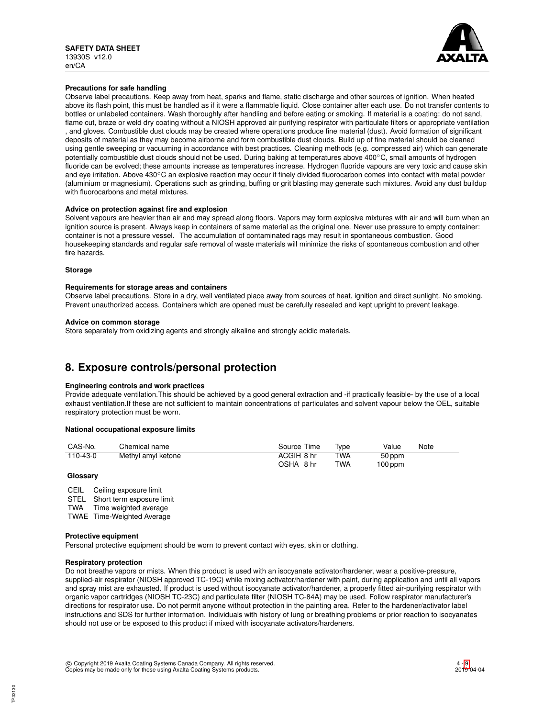

## **Precautions for safe handling**

Observe label precautions. Keep away from heat, sparks and flame, static discharge and other sources of ignition. When heated above its flash point, this must be handled as if it were a flammable liquid. Close container after each use. Do not transfer contents to bottles or unlabeled containers. Wash thoroughly after handling and before eating or smoking. If material is a coating: do not sand, flame cut, braze or weld dry coating without a NIOSH approved air purifying respirator with particulate filters or appropriate ventilation , and gloves. Combustible dust clouds may be created where operations produce fine material (dust). Avoid formation of significant deposits of material as they may become airborne and form combustible dust clouds. Build up of fine material should be cleaned using gentle sweeping or vacuuming in accordance with best practices. Cleaning methods (e.g. compressed air) which can generate potentially combustible dust clouds should not be used. During baking at temperatures above 400℃, small amounts of hydrogen fluoride can be evolved; these amounts increase as temperatures increase. Hydrogen fluoride vapours are very toxic and cause skin and eye irritation. Above 430℃ an explosive reaction may occur if finely divided fluorocarbon comes into contact with metal powder (aluminium or magnesium). Operations such as grinding, buffing or grit blasting may generate such mixtures. Avoid any dust buildup with fluorocarbons and metal mixtures.

### **Advice on protection against fire and explosion**

Solvent vapours are heavier than air and may spread along floors. Vapors may form explosive mixtures with air and will burn when an ignition source is present. Always keep in containers of same material as the original one. Never use pressure to empty container: container is not a pressure vessel. The accumulation of contaminated rags may result in spontaneous combustion. Good housekeeping standards and regular safe removal of waste materials will minimize the risks of spontaneous combustion and other fire hazards.

### **Storage**

### **Requirements for storage areas and containers**

Observe label precautions. Store in a dry, well ventilated place away from sources of heat, ignition and direct sunlight. No smoking. Prevent unauthorized access. Containers which are opened must be carefully resealed and kept upright to prevent leakage.

### **Advice on common storage**

Store separately from oxidizing agents and strongly alkaline and strongly acidic materials.

## **8. Exposure controls/personal protection**

### **Engineering controls and work practices**

Provide adequate ventilation.This should be achieved by a good general extraction and -if practically feasible- by the use of a local exhaust ventilation.If these are not sufficient to maintain concentrations of particulates and solvent vapour below the OEL, suitable respiratory protection must be worn.

### **National occupational exposure limits**

| CAS-No.  | Chemical name      | Source Time | Tvpe       | Value     | Note |
|----------|--------------------|-------------|------------|-----------|------|
| 110-43-0 | Methyl amyl ketone | ACGIH 8 hr  | <b>TWA</b> | 50 ppm    |      |
|          |                    | OSHA 8 hr   | <b>TWA</b> | $100$ ppm |      |

### **Glossary**

CEIL Ceiling exposure limit

STEL Short term exposure limit<br>TWA Time weighted average Time weighted average

TWAE Time-Weighted Average

### **Protective equipment**

Personal protective equipment should be worn to prevent contact with eyes, skin or clothing.

### **Respiratory protection**

Do not breathe vapors or mists. When this product is used with an isocyanate activator/hardener, wear a positive-pressure, supplied-air respirator (NIOSH approved TC-19C) while mixing activator/hardener with paint, during application and until all vapors and spray mist are exhausted. If product is used without isocyanate activator/hardener, a properly fitted air-purifying respirator with organic vapor cartridges (NIOSH TC-23C) and particulate filter (NIOSH TC-84A) may be used. Follow respirator manufacturer's directions for respirator use. Do not permit anyone without protection in the painting area. Refer to the hardener/activator label instructions and SDS for further information. Individuals with history of lung or breathing problems or prior reaction to isocyanates should not use or be exposed to this product if mixed with isocyanate activators/hardeners.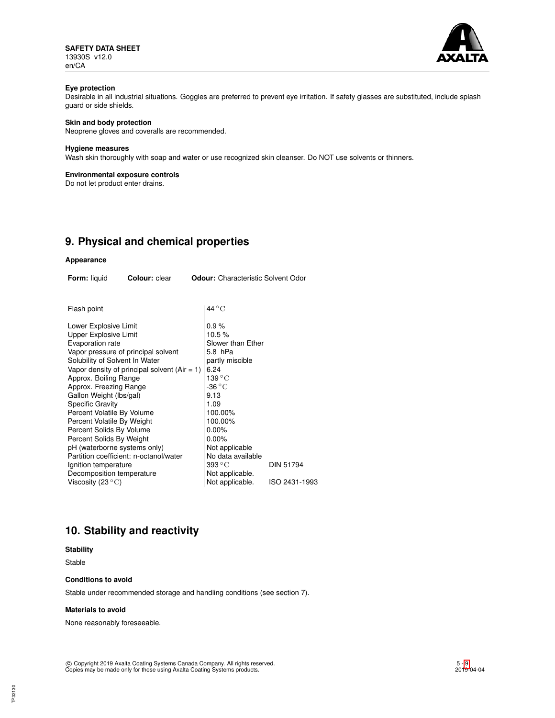**SAFETY DATA SHEET** 13930S v12.0 en/CA



## **Eye protection**

Desirable in all industrial situations. Goggles are preferred to prevent eye irritation. If safety glasses are substituted, include splash guard or side shields.

## **Skin and body protection**

Neoprene gloves and coveralls are recommended.

### **Hygiene measures**

Wash skin thoroughly with soap and water or use recognized skin cleanser. Do NOT use solvents or thinners.

### **Environmental exposure controls**

Do not let product enter drains.

# **9. Physical and chemical properties**

## **Appearance**

| <b>Form:</b> liquid<br><b>Colour:</b> clear                                                                                                                                                                                                                                                                                                                                                                                                                                                                                                               | <b>Odour:</b> Characteristic Solvent Odor                                                                                                                                                                                                                            |                  |
|-----------------------------------------------------------------------------------------------------------------------------------------------------------------------------------------------------------------------------------------------------------------------------------------------------------------------------------------------------------------------------------------------------------------------------------------------------------------------------------------------------------------------------------------------------------|----------------------------------------------------------------------------------------------------------------------------------------------------------------------------------------------------------------------------------------------------------------------|------------------|
|                                                                                                                                                                                                                                                                                                                                                                                                                                                                                                                                                           |                                                                                                                                                                                                                                                                      |                  |
| Flash point                                                                                                                                                                                                                                                                                                                                                                                                                                                                                                                                               | $44^{\circ}$ C                                                                                                                                                                                                                                                       |                  |
| Lower Explosive Limit<br>Upper Explosive Limit<br>Evaporation rate<br>Vapor pressure of principal solvent<br>Solubility of Solvent In Water<br>Vapor density of principal solvent $(Air = 1)$<br>Approx. Boiling Range<br>Approx. Freezing Range<br>Gallon Weight (lbs/gal)<br><b>Specific Gravity</b><br>Percent Volatile By Volume<br>Percent Volatile By Weight<br>Percent Solids By Volume<br>Percent Solids By Weight<br>pH (waterborne systems only)<br>Partition coefficient: n-octanol/water<br>Ignition temperature<br>Decomposition temperature | 0.9%<br>10.5%<br>Slower than Ether<br>5.8 hPa<br>partly miscible<br>6.24<br>$139\,^{\circ}\mathrm{C}$<br>-36 °C<br>9.13<br>1.09<br>100.00%<br>100.00%<br>$0.00\%$<br>$0.00\%$<br>Not applicable<br>No data available<br>$393\,^{\circ}\mathrm{C}$<br>Not applicable. | <b>DIN 51794</b> |
| Viscosity (23 $^{\circ}$ C)                                                                                                                                                                                                                                                                                                                                                                                                                                                                                                                               | Not applicable.                                                                                                                                                                                                                                                      | ISO 2431-1993    |

# **10. Stability and reactivity**

## **Stability**

Stable

## **Conditions to avoid**

Stable under recommended storage and handling conditions (see section 7).

#### **Materials to avoid**

None reasonably foreseeable.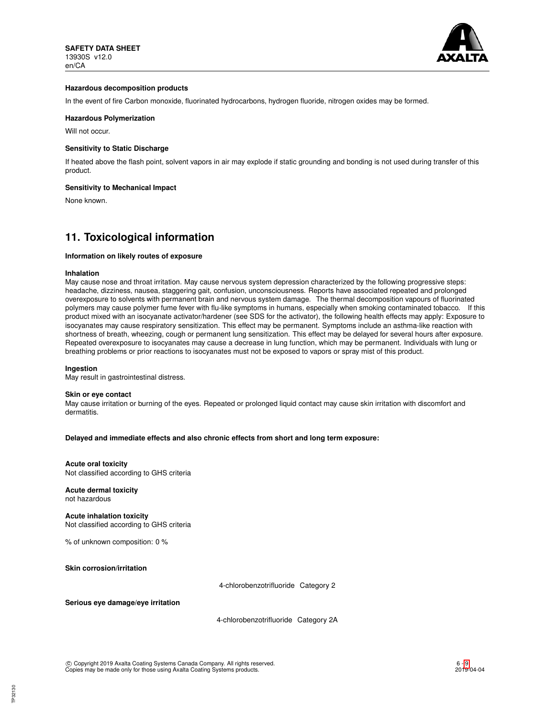

### **Hazardous decomposition products**

In the event of fire Carbon monoxide, fluorinated hydrocarbons, hydrogen fluoride, nitrogen oxides may be formed.

### **Hazardous Polymerization**

Will not occur.

### **Sensitivity to Static Discharge**

If heated above the flash point, solvent vapors in air may explode if static grounding and bonding is not used during transfer of this product.

### **Sensitivity to Mechanical Impact**

None known.

## **11. Toxicological information**

### **Information on likely routes of exposure**

#### **Inhalation**

May cause nose and throat irritation. May cause nervous system depression characterized by the following progressive steps: headache, dizziness, nausea, staggering gait, confusion, unconsciousness. Reports have associated repeated and prolonged overexposure to solvents with permanent brain and nervous system damage. The thermal decomposition vapours of fluorinated polymers may cause polymer fume fever with flu-like symptoms in humans, especially when smoking contaminated tobacco. If this product mixed with an isocyanate activator/hardener (see SDS for the activator), the following health effects may apply: Exposure to isocyanates may cause respiratory sensitization. This effect may be permanent. Symptoms include an asthma-like reaction with shortness of breath, wheezing, cough or permanent lung sensitization. This effect may be delayed for several hours after exposure. Repeated overexposure to isocyanates may cause a decrease in lung function, which may be permanent. Individuals with lung or breathing problems or prior reactions to isocyanates must not be exposed to vapors or spray mist of this product.

#### **Ingestion**

May result in gastrointestinal distress.

#### **Skin or eye contact**

May cause irritation or burning of the eyes. Repeated or prolonged liquid contact may cause skin irritation with discomfort and dermatitis.

**Delayed and immediate effects and also chronic effects from short and long term exposure:**

### **Acute oral toxicity**

Not classified according to GHS criteria

**Acute dermal toxicity** not hazardous

**Acute inhalation toxicity** Not classified according to GHS criteria

% of unknown composition: 0 %

**Skin corrosion/irritation**

4-chlorobenzotrifluoride Category 2

**Serious eye damage/eye irritation**

4-chlorobenzotrifluoride Category 2A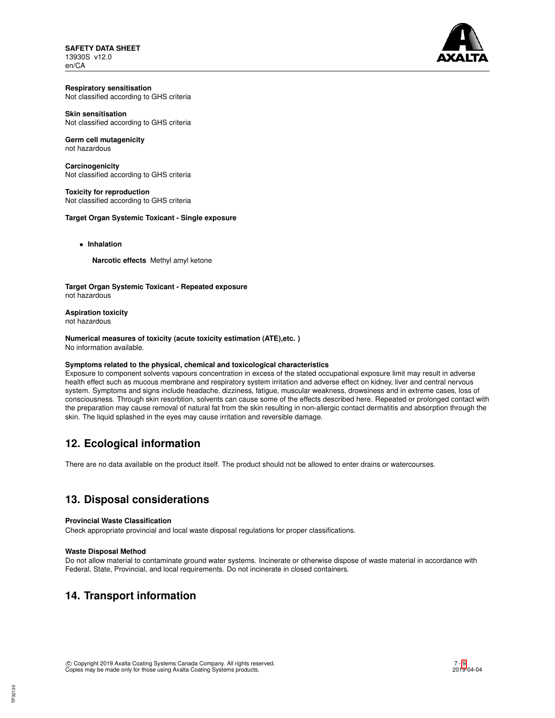**SAFETY DATA SHEET** 13930S v12.0 en/CA



**Respiratory sensitisation** Not classified according to GHS criteria

## **Skin sensitisation**

Not classified according to GHS criteria

#### **Germ cell mutagenicity** not hazardous

**Carcinogenicity** Not classified according to GHS criteria

**Toxicity for reproduction** Not classified according to GHS criteria

## **Target Organ Systemic Toxicant - Single exposure**

• **Inhalation**

**Narcotic effects** Methyl amyl ketone

**Target Organ Systemic Toxicant - Repeated exposure** not hazardous

**Aspiration toxicity** not hazardous

**Numerical measures of toxicity (acute toxicity estimation (ATE),etc. )** No information available.

## **Symptoms related to the physical, chemical and toxicological characteristics**

Exposure to component solvents vapours concentration in excess of the stated occupational exposure limit may result in adverse health effect such as mucous membrane and respiratory system irritation and adverse effect on kidney, liver and central nervous system. Symptoms and signs include headache, dizziness, fatigue, muscular weakness, drowsiness and in extreme cases, loss of consciousness. Through skin resorbtion, solvents can cause some of the effects described here. Repeated or prolonged contact with the preparation may cause removal of natural fat from the skin resulting in non-allergic contact dermatitis and absorption through the skin. The liquid splashed in the eyes may cause irritation and reversible damage.

## **12. Ecological information**

There are no data available on the product itself. The product should not be allowed to enter drains or watercourses.

## **13. Disposal considerations**

## **Provincial Waste Classification**

Check appropriate provincial and local waste disposal regulations for proper classifications.

## **Waste Disposal Method**

Do not allow material to contaminate ground water systems. Incinerate or otherwise dispose of waste material in accordance with Federal, State, Provincial, and local requirements. Do not incinerate in closed containers.

# **14. Transport information**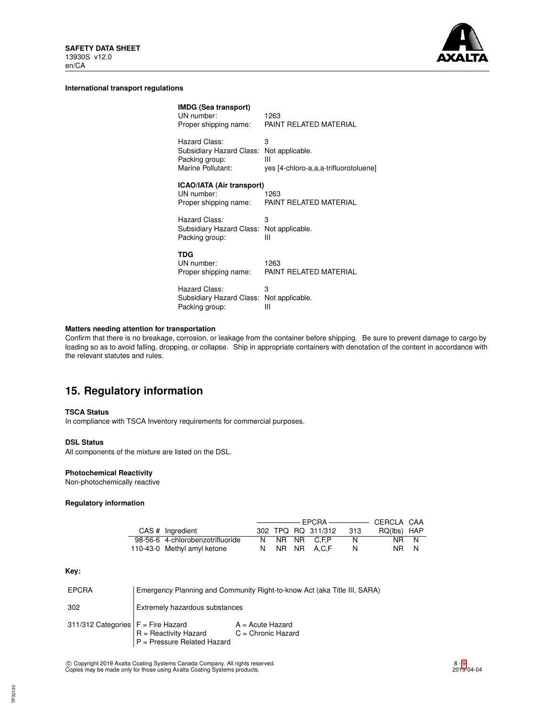

### **International transport regulations**

| <b>IMDG (Sea transport)</b><br>UN number:<br>Proper shipping name:               | 1263<br>PAINT RELATED MATERIAL                                     |
|----------------------------------------------------------------------------------|--------------------------------------------------------------------|
| Hazard Class:<br>Subsidiary Hazard Class:<br>Packing group:<br>Marine Pollutant: | 3<br>Not applicable.<br>Ш<br>yes [4-chloro-a,a,a-trifluorotoluene] |
| <b>ICAO/IATA (Air transport)</b><br>UN number:<br>Proper shipping name:          | 1263<br>PAINT RELATED MATERIAL                                     |
| Hazard Class:<br>Subsidiary Hazard Class:<br>Packing group:                      | 3<br>Not applicable.<br>Ш                                          |
| TDG<br>UN number:<br>Proper shipping name:                                       | 1263<br>PAINT RELATED MATERIAL                                     |
| Hazard Class:<br>Subsidiary Hazard Class:<br>Packing group:                      | 3<br>Not applicable.<br>Ш                                          |

## **Matters needing attention for transportation**

Confirm that there is no breakage, corrosion, or leakage from the container before shipping. Be sure to prevent damage to cargo by loading so as to avoid falling, dropping, or collapse. Ship in appropriate containers with denotation of the content in accordance with the relevant statutes and rules.

# **15. Regulatory information**

### **TSCA Status**

In compliance with TSCA Inventory requirements for commercial purposes.

### **DSL Status**

All components of the mixture are listed on the DSL.

## **Photochemical Reactivity**

Non-photochemically reactive

## **Regulatory information**

| CAS # Ingredient                 |  | 302 TPQ RQ 311/312 | - 313 | RQ(lbs) HAP |  |
|----------------------------------|--|--------------------|-------|-------------|--|
| 98-56-6 4-chlorobenzotrifluoride |  | N NR NR C.F.P      |       | NR N        |  |
| 110-43-0 Methyl amyl ketone      |  | NR NR A.C.F        |       | NR N        |  |

### **Key:**

| <b>EPCRA</b>                         | Emergency Planning and Community Right-to-know Act (aka Title III, SARA) |                                            |  |
|--------------------------------------|--------------------------------------------------------------------------|--------------------------------------------|--|
| 302                                  | Extremely hazardous substances                                           |                                            |  |
| 311/312 Categories $F =$ Fire Hazard | R = Reactivity Hazard<br>P = Pressure Related Hazard                     | $A = Acute Hazard$<br>$C =$ Chronic Hazard |  |